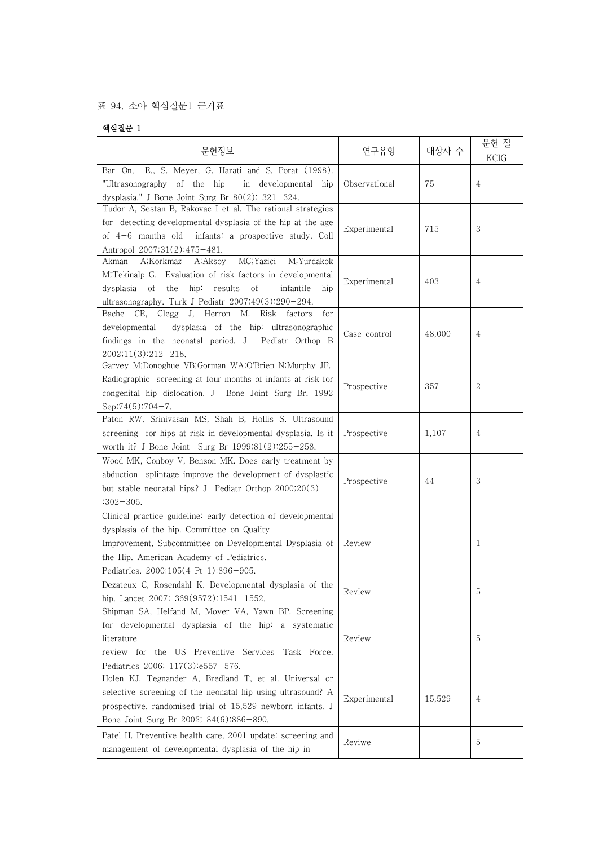## 표 94. 소아 핵심질문1 근거표

## 핵심질문 1

| 문헌정보                                                                                                                                                                                                                                                        | 연구유형          | 대상자 수  | 문헌 질<br><b>KCIG</b> |  |
|-------------------------------------------------------------------------------------------------------------------------------------------------------------------------------------------------------------------------------------------------------------|---------------|--------|---------------------|--|
| E., S. Meyer, G. Harati and S. Porat (1998).<br>$Bar$ -On,<br>"Ultrasonography of the hip<br>in developmental hip<br>dysplasia." J Bone Joint Surg Br $80(2)$ : 321-324.                                                                                    | Observational | 75     | 4                   |  |
| Tudor A, Sestan B, Rakovac I et al. The rational strategies<br>for detecting developmental dysplasia of the hip at the age<br>of $4-6$ months old infants: a prospective study. Coll<br>Antropol 2007;31(2):475-481.                                        | Experimental  | 715    | 3                   |  |
| MC; Yazici<br>A;Korkmaz<br>M;Yurdakok<br>A;Aksov<br>Akman<br>M;Tekinalp G. Evaluation of risk factors in developmental<br>dysplasia of the<br>hip: results of<br>infantile<br>hip<br>ultrasonography. Turk J Pediatr 2007;49(3):290-294.                    | Experimental  | 403    | 4                   |  |
| J, Herron M. Risk<br>CE,<br>Clegg<br>for<br>Bache<br>factors<br>dysplasia of the hip: ultrasonographic<br>developmental<br>findings in the neonatal period. J Pediatr Orthop B<br>2002;11(3):212-218.                                                       | Case control  | 48,000 | 4                   |  |
| Garvey M;Donoghue VB;Gorman WA;O'Brien N;Murphy JF.<br>Radiographic screening at four months of infants at risk for<br>congenital hip dislocation. J Bone Joint Surg Br. 1992<br>Sep; $74(5):704-7$ .                                                       | Prospective   | 357    | $\mathbf{2}$        |  |
| Paton RW, Srinivasan MS, Shah B, Hollis S. Ultrasound<br>screening for hips at risk in developmental dysplasia. Is it<br>worth it? J Bone Joint Surg Br 1999;81(2):255-258.                                                                                 | Prospective   | 1,107  | $\overline{4}$      |  |
| Wood MK, Conboy V, Benson MK. Does early treatment by<br>abduction splintage improve the development of dysplastic<br>but stable neonatal hips? J Pediatr Orthop 2000;20(3)<br>$:302 - 305.$                                                                | Prospective   | 44     | 3                   |  |
| Clinical practice guideline: early detection of developmental<br>dysplasia of the hip. Committee on Quality<br>Improvement, Subcommittee on Developmental Dysplasia of<br>the Hip. American Academy of Pediatrics.<br>Pediatrics. 2000;105(4 Pt 1):896-905. | Review        |        | 1                   |  |
| Dezateux C, Rosendahl K. Developmental dysplasia of the<br>hip. Lancet 2007; 369(9572):1541-1552.                                                                                                                                                           | Review        |        | 5                   |  |
| Shipman SA, Helfand M, Moyer VA, Yawn BP. Screening<br>for developmental dysplasia of the hip: a systematic<br>literature<br>review for the US Preventive Services<br>Task Force.<br>Pediatrics 2006; 117(3):e557-576.                                      | Review        |        | 5                   |  |
| Holen KJ, Tegnander A, Bredland T, et al. Universal or<br>selective screening of the neonatal hip using ultrasound? A<br>prospective, randomised trial of 15,529 newborn infants. J<br>Bone Joint Surg Br 2002; 84(6):886-890.                              | Experimental  | 15,529 | 4                   |  |
| Patel H. Preventive health care, 2001 update: screening and<br>management of developmental dysplasia of the hip in                                                                                                                                          | Reviwe        |        | 5                   |  |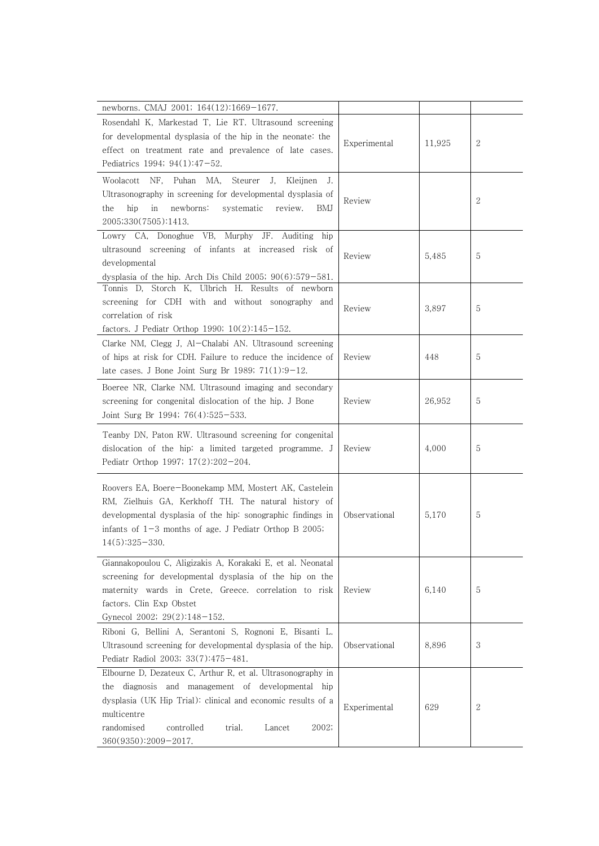| newborns. CMAJ 2001; 164(12):1669-1677.                                                                                                                                                                                                                                             |               |        |              |
|-------------------------------------------------------------------------------------------------------------------------------------------------------------------------------------------------------------------------------------------------------------------------------------|---------------|--------|--------------|
| Rosendahl K, Markestad T, Lie RT. Ultrasound screening<br>for developmental dysplasia of the hip in the neonate: the<br>effect on treatment rate and prevalence of late cases.<br>Pediatrics 1994; 94(1):47-52.                                                                     | Experimental  | 11,925 | $\mathbf{2}$ |
| Woolacott<br>NF.<br>Puhan MA,<br>Steurer<br>J.<br>Kleijnen<br>J.<br>Ultrasonography in screening for developmental dysplasia of<br>newborns:<br>systematic<br>the<br>hip<br>in<br>review.<br>BMJ<br>2005;330(7505):1413.                                                            | Review        |        | 2            |
| Lowry CA, Donoghue VB, Murphy JF.<br>Auditing hip<br>ultrasound screening of infants at increased risk of<br>developmental<br>dysplasia of the hip. Arch Dis Child 2005; $90(6):579-581$ .                                                                                          | Review        | 5,485  | 5            |
| Tonnis D, Storch K, Ulbrich H. Results of newborn<br>screening for CDH with and without sonography and<br>correlation of risk<br>factors. J Pediatr Orthop 1990; $10(2):145-152$ .                                                                                                  | Review        | 3,897  | 5            |
| Clarke NM, Clegg J, Al-Chalabi AN. Ultrasound screening<br>of hips at risk for CDH. Failure to reduce the incidence of<br>late cases. J Bone Joint Surg Br 1989; $71(1):9-12$ .                                                                                                     | Review        | 448    | 5            |
| Boeree NR, Clarke NM. Ultrasound imaging and secondary<br>screening for congenital dislocation of the hip. J Bone<br>Joint Surg Br 1994; $76(4):525-533$ .                                                                                                                          | Review        | 26,952 | 5            |
| Teanby DN, Paton RW. Ultrasound screening for congenital<br>dislocation of the hip: a limited targeted programme. J<br>Pediatr Orthop 1997; $17(2):202-204$ .                                                                                                                       | Review        | 4,000  | 5            |
| Roovers EA, Boere-Boonekamp MM, Mostert AK, Castelein<br>RM, Zielhuis GA, Kerkhoff TH. The natural history of<br>developmental dysplasia of the hip: sonographic findings in<br>infants of $1-3$ months of age. J Pediatr Orthop B 2005;<br>$14(5):325-330.$                        | Observational | 5,170  | 5            |
| Giannakopoulou C, Aligizakis A, Korakaki E, et al. Neonatal<br>screening for developmental dysplasia of the hip on the<br>maternity wards in Crete, Greece. correlation to risk<br>factors. Clin Exp Obstet<br>Gynecol 2002; 29(2):148-152.                                         | Review        | 6,140  | 5            |
| Riboni G, Bellini A, Serantoni S, Rognoni E, Bisanti L.<br>Ultrasound screening for developmental dysplasia of the hip.<br>Pediatr Radiol 2003; 33(7):475-481.                                                                                                                      | Observational | 8,896  | 3            |
| Elbourne D, Dezateux C, Arthur R, et al. Ultrasonography in<br>diagnosis and management of developmental hip<br>the<br>dysplasia (UK Hip Trial): clinical and economic results of a<br>multicentre<br>randomised<br>controlled<br>2002;<br>trial.<br>Lancet<br>360(9350):2009-2017. | Experimental  | 629    | 2            |